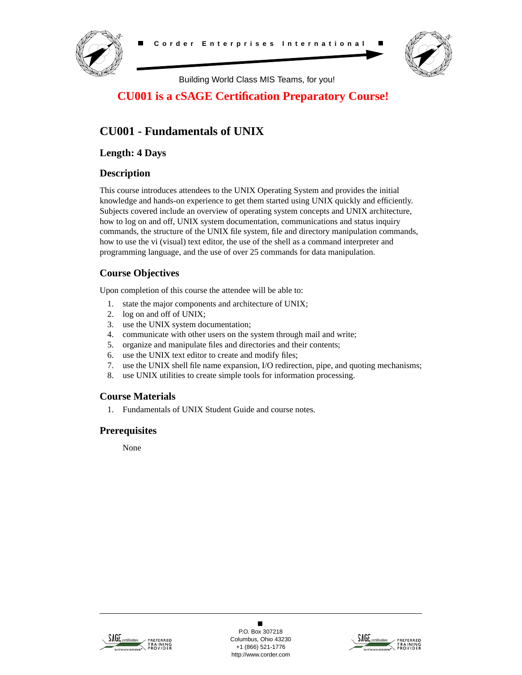



Building World Class MIS Teams, for you!

# **CU001 is a cSAGE Certification Preparatory Course!**

# **CU001 - Fundamentals of UNIX**

**Length: 4 Days**

## **Description**

This course introduces attendees to the UNIX Operating System and provides the initial knowledge and hands-on experience to get them started using UNIX quickly and efficiently. Subjects covered include an overview of operating system concepts and UNIX architecture, how to log on and off, UNIX system documentation, communications and status inquiry commands, the structure of the UNIX file system, file and directory manipulation commands, how to use the vi (visual) text editor, the use of the shell as a command interpreter and programming language, and the use of over 25 commands for data manipulation.

# **Course Objectives**

Upon completion of this course the attendee will be able to:

- 1. state the major components and architecture of UNIX;
- 2. log on and off of UNIX;
- 3. use the UNIX system documentation;
- 4. communicate with other users on the system through mail and write;
- 5. organize and manipulate files and directories and their contents;
- 6. use the UNIX text editor to create and modify files;
- 7. use the UNIX shell file name expansion, I/O redirection, pipe, and quoting mechanisms;
- 8. use UNIX utilities to create simple tools for information processing.

## **Course Materials**

1. Fundamentals of UNIX Student Guide and course notes.

## **Prerequisites**

None



 $\blacksquare$ P.O. Box 307218 Columbus, Ohio 43230 +1 (866) 521-1776 http://www.corder.com

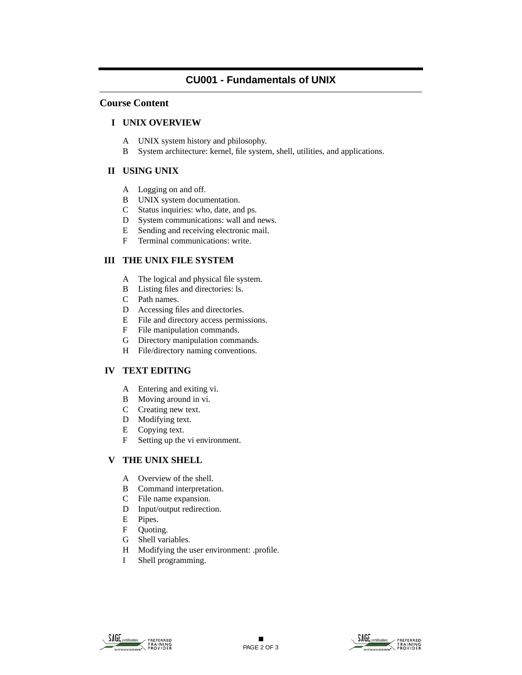# **CU001 - Fundamentals of UNIX**

#### **Course Content**

#### **I UNIX OVERVIEW**

- A UNIX system history and philosophy.
- B System architecture: kernel, file system, shell, utilities, and applications.

#### **II USING UNIX**

- A Logging on and off.
- B UNIX system documentation.
- C Status inquiries: who, date, and ps.
- D System communications: wall and news.
- E Sending and receiving electronic mail.
- F Terminal communications: write.

## **III THE UNIX FILE SYSTEM**

- A The logical and physical file system.
- B Listing files and directories: ls.
- C Path names.
- D Accessing files and directories.
- E File and directory access permissions.
- F File manipulation commands.
- G Directory manipulation commands.
- H File/directory naming conventions.

## **IV TEXT EDITING**

- A Entering and exiting vi.
- B Moving around in vi.
- C Creating new text.
- D Modifying text.
- E Copying text.
- F Setting up the vi environment.

## **V THE UNIX SHELL**

- A Overview of the shell.
- B Command interpretation.
- C File name expansion.
- D Input/output redirection.
- E Pipes.
- F Quoting.
- G Shell variables.
- H Modifying the user environment: .profile.
- I Shell programming.